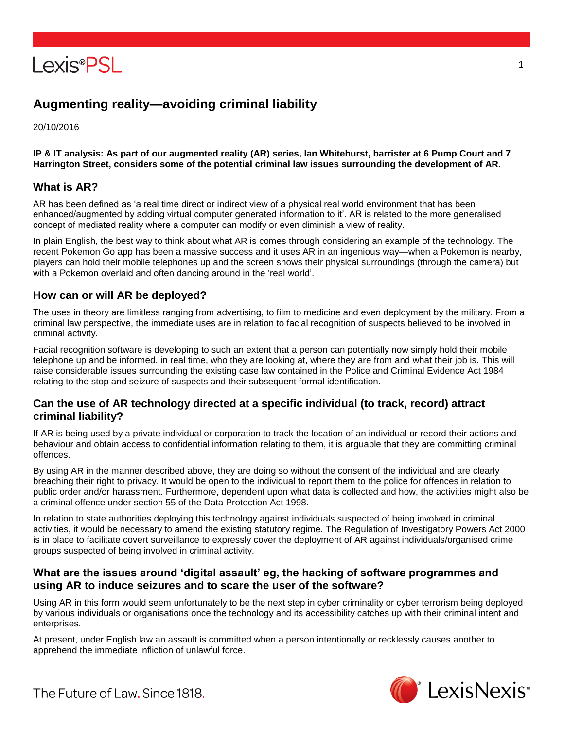

# **Augmenting reality—avoiding criminal liability**

20/10/2016

**IP & IT analysis: As part of our augmented reality (AR) series, Ian Whitehurst, barrister at 6 Pump Court and 7 Harrington Street, considers some of the potential criminal law issues surrounding the development of AR.**

### **What is AR?**

AR has been defined as 'a real time direct or indirect view of a physical real world environment that has been enhanced/augmented by adding virtual computer generated information to it'. AR is related to the more generalised concept of mediated reality where a computer can modify or even diminish a view of reality.

In plain English, the best way to think about what AR is comes through considering an example of the technology. The recent Pokemon Go app has been a massive success and it uses AR in an ingenious way—when a Pokemon is nearby, players can hold their mobile telephones up and the screen shows their physical surroundings (through the camera) but with a Pokemon overlaid and often dancing around in the 'real world'.

### **How can or will AR be deployed?**

The uses in theory are limitless ranging from advertising, to film to medicine and even deployment by the military. From a criminal law perspective, the immediate uses are in relation to facial recognition of suspects believed to be involved in criminal activity.

Facial recognition software is developing to such an extent that a person can potentially now simply hold their mobile telephone up and be informed, in real time, who they are looking at, where they are from and what their job is. This will raise considerable issues surrounding the existing case law contained in the Police and Criminal Evidence Act 1984 relating to the stop and seizure of suspects and their subsequent formal identification.

### **Can the use of AR technology directed at a specific individual (to track, record) attract criminal liability?**

If AR is being used by a private individual or corporation to track the location of an individual or record their actions and behaviour and obtain access to confidential information relating to them, it is arguable that they are committing criminal offences.

By using AR in the manner described above, they are doing so without the consent of the individual and are clearly breaching their right to privacy. It would be open to the individual to report them to the police for offences in relation to public order and/or harassment. Furthermore, dependent upon what data is collected and how, the activities might also be a criminal offence under section 55 of the Data Protection Act 1998.

In relation to state authorities deploying this technology against individuals suspected of being involved in criminal activities, it would be necessary to amend the existing statutory regime. The Regulation of Investigatory Powers Act 2000 is in place to facilitate covert surveillance to expressly cover the deployment of AR against individuals/organised crime groups suspected of being involved in criminal activity.

### **What are the issues around 'digital assault' eg, the hacking of software programmes and using AR to induce seizures and to scare the user of the software?**

Using AR in this form would seem unfortunately to be the next step in cyber criminality or cyber terrorism being deployed by various individuals or organisations once the technology and its accessibility catches up with their criminal intent and enterprises.

At present, under English law an assault is committed when a person intentionally or recklessly causes another to apprehend the immediate infliction of unlawful force.



The Future of Law, Since 1818.